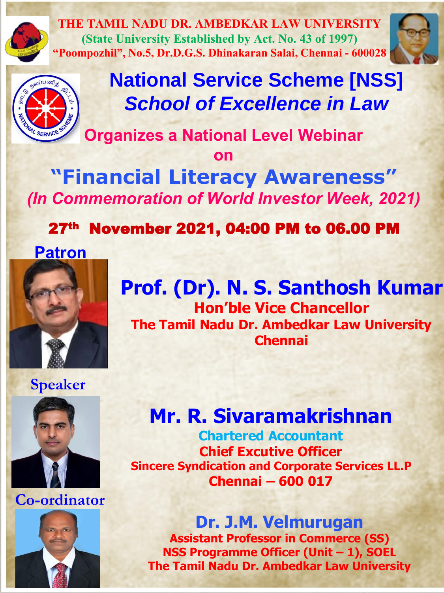

**THE TAMIL NADU DR. AMBEDKAR LAW UNIVERSITY (State University Established by Act. No. 43 of 1997) "Poompozhil", No.5, Dr.D.G.S. Dhinakaran Salai, Chennai - 600028**





# **National Service Scheme [NSS]** *School of Excellence in Law*

**Organizes a National Level Webinar**

**on** 

**"Financial Literacy Awareness"**  *(In Commemoration of World Investor Week, 2021)*

27th November 2021, 04:00 PM to 06.00 PM

**Patron**



**Prof. (Dr). N. S. Santhosh Kumar Hon'ble Vice Chancellor The Tamil Nadu Dr. Ambedkar Law University Chennai**

**Speaker**



**Co-ordinator**



## **Mr. R. Sivaramakrishnan**

**Chartered Accountant Chief Excutive Officer Sincere Syndication and Corporate Services LL.P Chennai – 600 017** 

**Dr. J.M. Velmurugan Assistant Professor in Commerce (SS) NSS Programme Officer (Unit – 1), SOEL The Tamil Nadu Dr. Ambedkar Law University**